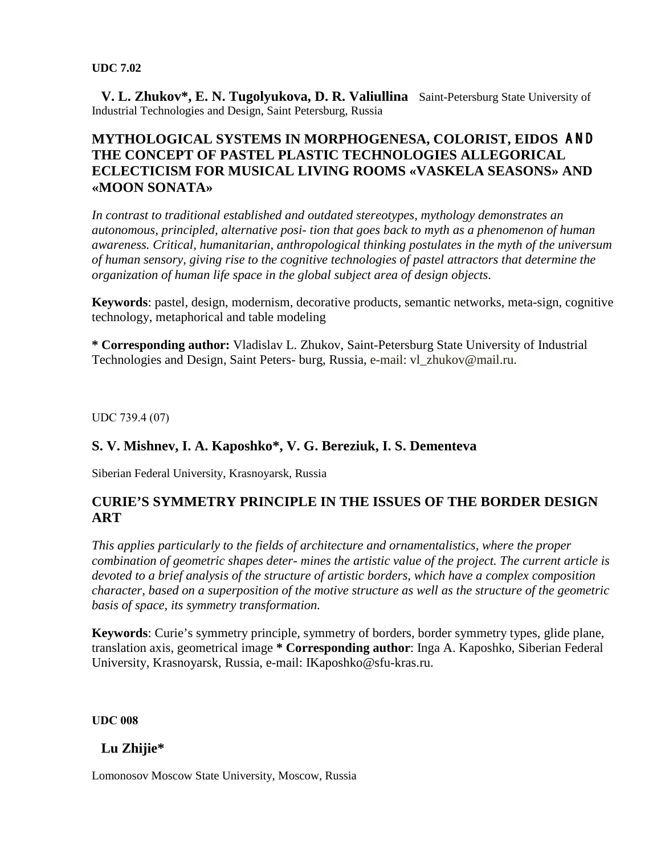**V. L. Zhukov\*, E. N. Tugolyukova, D. R. Valiullina** Saint-Petersburg State University of Industrial Technologies and Design, Saint Petersburg, Russia

### **MYTHOLOGICAL SYSTEMS IN MORPHOGENESA, COLORIST, EIDOS** AND **THE CONCEPT OF PASTEL PLASTIC TECHNOLOGIES ALLEGORICAL ECLECTICISM FOR MUSICAL LIVING ROOMS «VASKELA SEASONS» AND «MOON SONATA»**

*In contrast to traditional established and outdated stereotypes, mythology demonstrates an autonomous, principled, alternative posi- tion that goes back to myth as a phenomenon of human awareness. Critical, humanitarian, anthropological thinking postulates in the myth of the universum of human sensory, giving rise to the cognitive technologies of pastel attractors that determine the organization of human life space in the global subject area of design objects.* 

**Keywords**: pastel, design, modernism, decorative products, semantic networks, meta-sign, cognitive technology, metaphorical and table modeling

**\* Corresponding author:** Vladislav L. Zhukov, Saint-Petersburg State University of Industrial Technologies and Design, Saint Peters- burg, Russia, e-mail: vl\_zhukov@mail.ru.

UDС 739.4 (07)

### **S. V. Mishnev, I. A. Kaposhko\*, V. G. Bereziuk, I. S. Dementeva**

Siberian Federal University, Krasnoyarsk, Russia

#### **CURIE'S SYMMETRY PRINCIPLE IN THE ISSUES OF THE BORDER DESIGN ART**

*This applies particularly to the fields of architecture and ornamentalistics, where the proper combination of geometric shapes deter- mines the artistic value of the project. The current article is devoted to a brief analysis of the structure of artistic borders, which have a complex composition character, based on a superposition of the motive structure as well as the structure of the geometric basis of space, its symmetry transformation.* 

**Keywords**: Curie's symmetry principle, symmetry of borders, border symmetry types, glide plane, translation axis, geometrical image **\* Corresponding author**: Inga A. Kaposhko, Siberian Federal University, Krasnoyarsk, Russia, e-mail: IKaposhko@sfu-kras.ru.

**UDС 008**

### **Lu Zhijie\***

Lomonosov Moscow State University, Moscow, Russia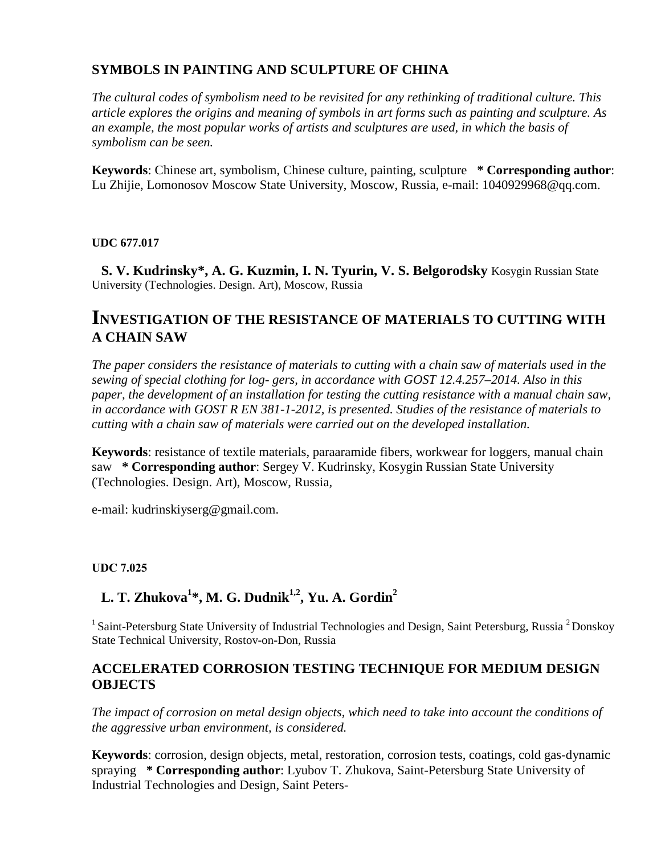## **SYMBOLS IN PAINTING AND SCULPTURE OF CHINA**

*The cultural codes of symbolism need to be revisited for any rethinking of traditional culture. This article explores the origins and meaning of symbols in art forms such as painting and sculpture. As an example, the most popular works of artists and sculptures are used, in which the basis of symbolism can be seen.* 

**Keywords**: Chinese art, symbolism, Chinese culture, painting, sculpture **\* Corresponding author**: Lu Zhijie, Lomonosov Moscow State University, Moscow, Russia, e-mail: 1040929968@qq.com.

#### **UDC 677.017**

 **S. V. Kudrinsky\*, A. G. Kuzmin, I. N. Tyurin, V. S. Belgorodsky** Kosygin Russian State University (Technologies. Design. Art), Moscow, Russia

## **INVESTIGATION OF THE RESISTANCE OF MATERIALS TO CUTTING WITH A CHAIN SAW**

*The paper considers the resistance of materials to cutting with a chain saw of materials used in the sewing of special clothing for log- gers, in accordance with GOST 12.4.257–2014. Also in this paper, the development of an installation for testing the cutting resistance with a manual chain saw, in accordance with GOST R EN 381-1-2012, is presented. Studies of the resistance of materials to cutting with a chain saw of materials were carried out on the developed installation.* 

**Keywords**: resistance of textile materials, paraaramide fibers, workwear for loggers, manual chain saw **\* Corresponding author**: Sergey V. Kudrinsky, Kosygin Russian State University (Technologies. Design. Art), Moscow, Russia,

e-mail: kudrinskiyserg@gmail.com.

#### **UDС 7.025**

# L. T. Zhukova<sup>1\*</sup>, M. G. Dudnik<sup>1,2</sup>, Yu. A. Gordin<sup>2</sup>

<sup>1</sup> Saint-Petersburg State University of Industrial Technologies and Design, Saint Petersburg, Russia <sup>2</sup> Donskoy State Technical University, Rostov-on-Don, Russia

#### **ACCELERATED CORROSION TESTING TECHNIQUE FOR MEDIUM DESIGN OBJECTS**

*The impact of corrosion on metal design objects, which need to take into account the conditions of the aggressive urban environment, is considered.* 

**Keywords**: corrosion, design objects, metal, restoration, corrosion tests, coatings, cold gas-dynamic spraying **\* Corresponding author**: Lyubov T. Zhukova, Saint-Petersburg State University of Industrial Technologies and Design, Saint Peters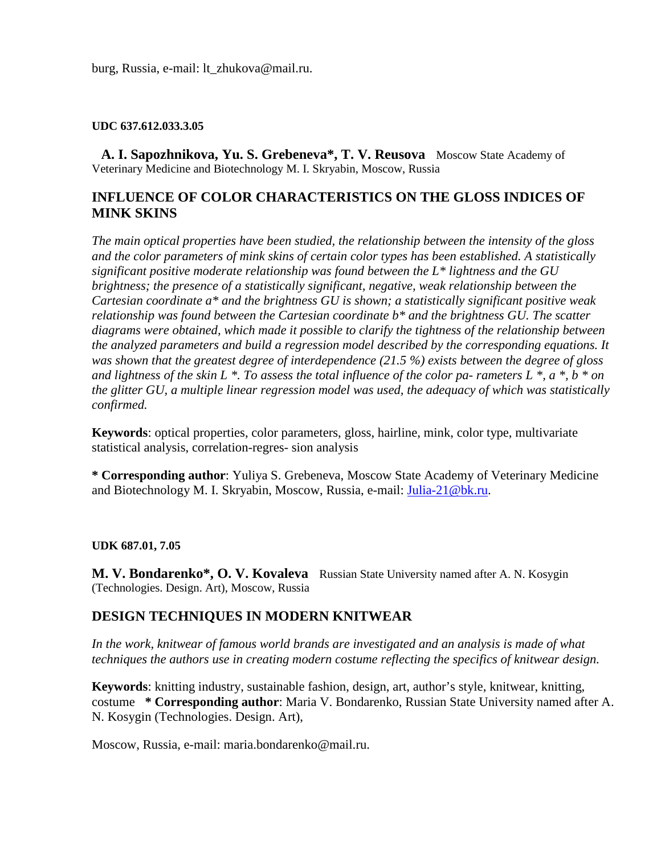burg, Russia, e-mail: lt\_zhukova@mail.ru.

#### **UDC 637.612.033.3.05**

 **A. I. Sapozhnikova, Yu. S. Grebeneva\*, T. V. Reusova** Moscow State Academy of Veterinary Medicine and Biotechnology M. I. Skryabin, Moscow, Russia

### **INFLUENCE OF COLOR CHARACTERISTICS ON THE GLOSS INDICES OF MINK SKINS**

*The main optical properties have been studied, the relationship between the intensity of the gloss and the color parameters of mink skins of certain color types has been established. A statistically significant positive moderate relationship was found between the L\* lightness and the GU brightness; the presence of a statistically significant, negative, weak relationship between the Cartesian coordinate a\* and the brightness GU is shown; a statistically significant positive weak relationship was found between the Cartesian coordinate b\* and the brightness GU. The scatter diagrams were obtained, which made it possible to clarify the tightness of the relationship between the analyzed parameters and build a regression model described by the corresponding equations. It was shown that the greatest degree of interdependence (21.5 %) exists between the degree of gloss and lightness of the skin L \*. To assess the total influence of the color pa- rameters L \*, a \*, b \* on the glitter GU, a multiple linear regression model was used, the adequacy of which was statistically confirmed.* 

**Keywords**: optical properties, color parameters, gloss, hairline, mink, color type, multivariate statistical analysis, correlation-regres- sion analysis

**\* Corresponding author**: Yuliya S. Grebeneva, Moscow State Academy of Veterinary Medicine and Biotechnology M. I. Skryabin, Moscow, Russia, e-mail: [Julia-21@bk.ru.](mailto:Julia-21@bk.ru)

#### **UDK 687.01, 7.05**

**M. V. Bondarenko<sup>\*</sup>, O. V. Kovaleva** Russian State University named after A. N. Kosygin (Technologies. Design. Art), Moscow, Russia

#### **DESIGN TECHNIQUES IN MODERN KNITWEAR**

*In the work, knitwear of famous world brands are investigated and an analysis is made of what techniques the authors use in creating modern costume reflecting the specifics of knitwear design.* 

**Keywords**: knitting industry, sustainable fashion, design, art, author's style, knitwear, knitting, costume **\* Corresponding author**: Maria V. Bondarenko, Russian State University named after A. N. Kosygin (Technologies. Design. Art),

Moscow, Russia, e-mail: maria.bondarenko@mail.ru.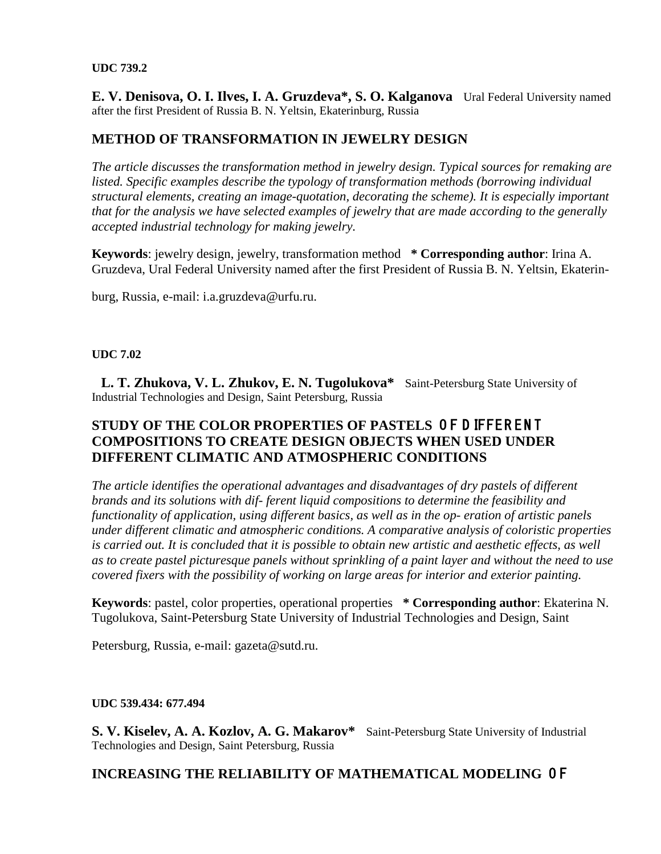E. V. Denisova, O. I. Ilves, I. A. Gruzdeva<sup>\*</sup>, S. O. Kalganova Ural Federal University named after the first President of Russia B. N. Yeltsin, Ekaterinburg, Russia

### **METHOD OF TRANSFORMATION IN JEWELRY DESIGN**

*The article discusses the transformation method in jewelry design. Typical sources for remaking are listed. Specific examples describe the typology of transformation methods (borrowing individual structural elements, creating an image-quotation, decorating the scheme). It is especially important that for the analysis we have selected examples of jewelry that are made according to the generally accepted industrial technology for making jewelry.* 

**Keywords**: jewelry design, jewelry, transformation method **\* Corresponding author**: Irina A. Gruzdeva, Ural Federal University named after the first President of Russia B. N. Yeltsin, Ekaterin-

burg, Russia, e-mail: i.a.gruzdeva@urfu.ru.

#### **UDC 7.02**

 **L. T. Zhukova, V. L. Zhukov, E. N. Tugolukova\*** Saint-Petersburg State University of Industrial Technologies and Design, Saint Petersburg, Russia

### **STUDY OF THE COLOR PROPERTIES OF PASTELS OF D IFFERENT COMPOSITIONS TO CREATE DESIGN OBJECTS WHEN USED UNDER DIFFERENT CLIMATIC AND ATMOSPHERIC CONDITIONS**

*The article identifies the operational advantages and disadvantages of dry pastels of different brands and its solutions with dif- ferent liquid compositions to determine the feasibility and functionality of application, using different basics, as well as in the op- eration of artistic panels under different climatic and atmospheric conditions. A comparative analysis of coloristic properties is carried out. It is concluded that it is possible to obtain new artistic and aesthetic effects, as well as to create pastel picturesque panels without sprinkling of a paint layer and without the need to use covered fixers with the possibility of working on large areas for interior and exterior painting.* 

**Keywords**: pastel, color properties, operational properties **\* Corresponding author**: Ekaterina N. Tugolukova, Saint-Petersburg State University of Industrial Technologies and Design, Saint

Petersburg, Russia, e-mail: gazeta@sutd.ru.

#### **UDC 539.434: 677.494**

S. V. Kiselev, A. A. Kozlov, A. G. Makarov\* Saint-Petersburg State University of Industrial Technologies and Design, Saint Petersburg, Russia

### **INCREASING THE RELIABILITY OF MATHEMATICAL MODELING** O F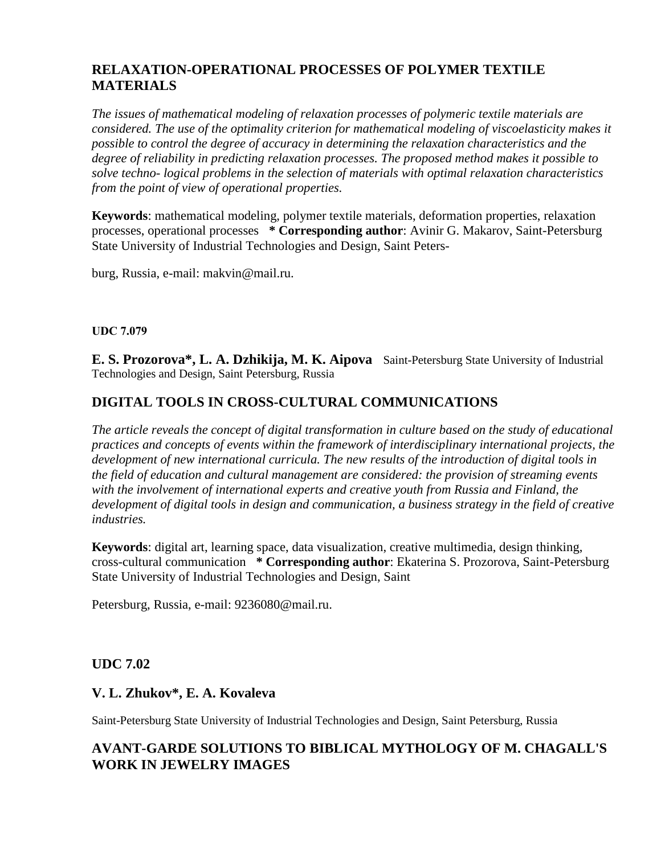## **RELAXATION-OPERATIONAL PROCESSES OF POLYMER TEXTILE MATERIALS**

*The issues of mathematical modeling of relaxation processes of polymeric textile materials are considered. The use of the optimality criterion for mathematical modeling of viscoelasticity makes it possible to control the degree of accuracy in determining the relaxation characteristics and the degree of reliability in predicting relaxation processes. The proposed method makes it possible to solve techno- logical problems in the selection of materials with optimal relaxation characteristics from the point of view of operational properties.* 

**Keywords**: mathematical modeling, polymer textile materials, deformation properties, relaxation processes, operational processes **\* Corresponding author**: Avinir G. Makarov, Saint-Petersburg State University of Industrial Technologies and Design, Saint Peters-

burg, Russia, e-mail: makvin@mail.ru.

#### **UDС 7.079**

**E. S. Prozorova\*, L. A. Dzhikija, M. K. Aipova** Saint-Petersburg State University of Industrial Technologies and Design, Saint Petersburg, Russia

## **DIGITAL TOOLS IN CROSS-CULTURAL COMMUNICATIONS**

*The article reveals the concept of digital transformation in culture based on the study of educational practices and concepts of events within the framework of interdisciplinary international projects, the development of new international curricula. The new results of the introduction of digital tools in the field of education and cultural management are considered: the provision of streaming events with the involvement of international experts and creative youth from Russia and Finland, the development of digital tools in design and communication, a business strategy in the field of creative industries.* 

**Keywords**: digital art, learning space, data visualization, creative multimedia, design thinking, cross-cultural communication **\* Corresponding author**: Ekaterina S. Prozorova, Saint-Petersburg State University of Industrial Technologies and Design, Saint

Petersburg, Russia, e-mail: 9236080@mail.ru.

#### **UDC 7.02**

### **V. L. Zhukov\*, E. A. Kovaleva**

Saint-Petersburg State University of Industrial Technologies and Design, Saint Petersburg, Russia

## **AVANT-GARDE SOLUTIONS TO BIBLICAL MYTHOLOGY OF M. CHAGALL'S WORK IN JEWELRY IMAGES**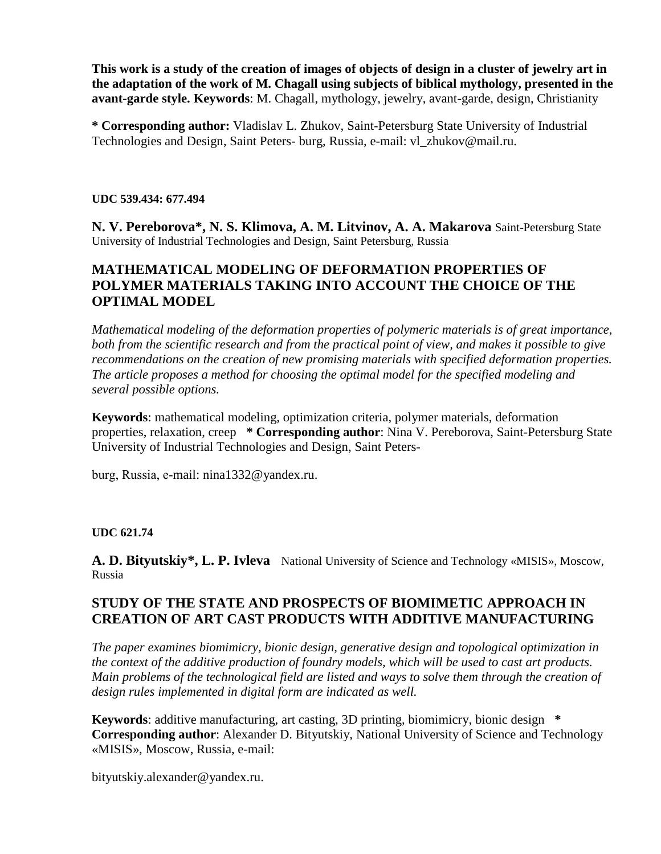**This work is a study of the creation of images of objects of design in a cluster of jewelry art in the adaptation of the work of M. Chagall using subjects of biblical mythology, presented in the avant-garde style. Keywords**: M. Chagall, mythology, jewelry, avant-garde, design, Christianity

**\* Corresponding author:** Vladislav L. Zhukov, Saint-Petersburg State University of Industrial Technologies and Design, Saint Peters- burg, Russia, e-mail: vl\_zhukov@mail.ru.

#### **UDC 539.434: 677.494**

**N. V. Pereborova\*, N. S. Klimova, A. M. Litvinov, A. A. Makarova** Saint-Petersburg State University of Industrial Technologies and Design, Saint Petersburg, Russia

### **MATHEMATICAL MODELING OF DEFORMATION PROPERTIES OF POLYMER MATERIALS TAKING INTO ACCOUNT THE CHOICE OF THE OPTIMAL MODEL**

*Mathematical modeling of the deformation properties of polymeric materials is of great importance, both from the scientific research and from the practical point of view, and makes it possible to give recommendations on the creation of new promising materials with specified deformation properties. The article proposes a method for choosing the optimal model for the specified modeling and several possible options.* 

**Keywords**: mathematical modeling, optimization criteria, polymer materials, deformation properties, relaxation, creep **\* Corresponding author**: Nina V. Pereborova, Saint-Petersburg State University of Industrial Technologies and Design, Saint Peters-

burg, Russia, е-mail: nina1332@yandex.ru.

#### **UDC 621.74**

A. D. Bityutskiy<sup>\*</sup>, L. P. Ivleva National University of Science and Technology «MISIS», Moscow, Russia

#### **STUDY OF THE STATE AND PROSPECTS OF BIOMIMETIC APPROACH IN CREATION OF ART CAST PRODUCTS WITH ADDITIVE MANUFACTURING**

*The paper examines biomimicry, bionic design, generative design and topological optimization in the context of the additive production of foundry models, which will be used to cast art products. Main problems of the technological field are listed and ways to solve them through the creation of design rules implemented in digital form are indicated as well.* 

**Keywords**: additive manufacturing, art casting, 3D printing, biomimicry, bionic design **\* Corresponding author**: Alexander D. Bityutskiy, National University of Science and Technology «MISIS», Moscow, Russia, e-mail:

bityutskiy.alexander@yandex.ru.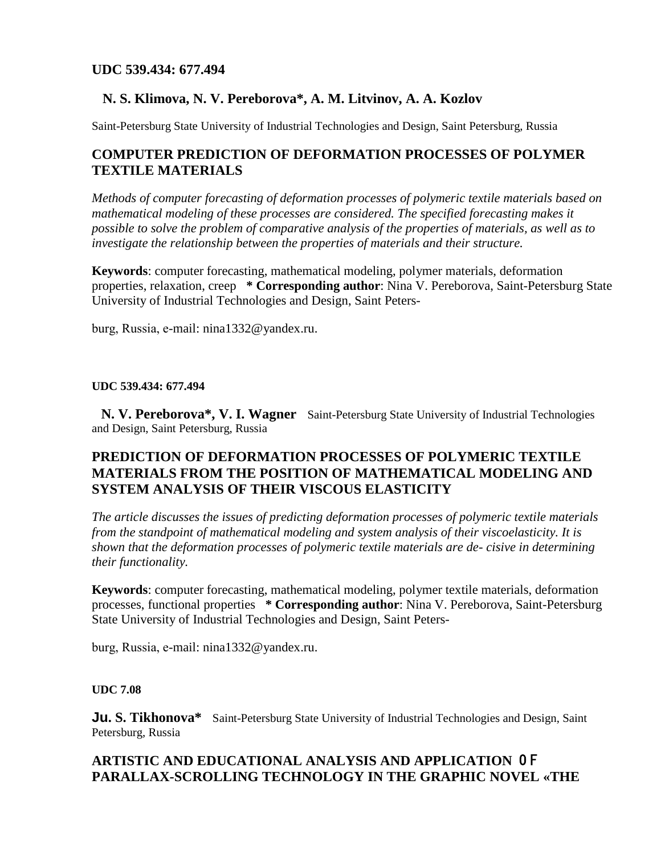### **N. S. Klimova, N. V. Pereborova\*, A. M. Litvinov, A. A. Kozlov**

Saint-Petersburg State University of Industrial Technologies and Design, Saint Petersburg, Russia

## **COMPUTER PREDICTION OF DEFORMATION PROCESSES OF POLYMER TEXTILE MATERIALS**

*Methods of computer forecasting of deformation processes of polymeric textile materials based on mathematical modeling of these processes are considered. The specified forecasting makes it possible to solve the problem of comparative analysis of the properties of materials, as well as to investigate the relationship between the properties of materials and their structure.* 

**Keywords**: computer forecasting, mathematical modeling, polymer materials, deformation properties, relaxation, creep **\* Corresponding author**: Nina V. Pereborova, Saint-Petersburg State University of Industrial Technologies and Design, Saint Peters-

burg, Russia, е-mail: nina1332@yandex.ru.

#### **UDC 539.434: 677.494**

 **N. V. Pereborova\*, V. I. Wagner** Saint-Petersburg State University of Industrial Technologies and Design, Saint Petersburg, Russia

### **PREDICTION OF DEFORMATION PROCESSES OF POLYMERIC TEXTILE MATERIALS FROM THE POSITION OF MATHEMATICAL MODELING AND SYSTEM ANALYSIS OF THEIR VISCOUS ELASTICITY**

*The article discusses the issues of predicting deformation processes of polymeric textile materials from the standpoint of mathematical modeling and system analysis of their viscoelasticity. It is shown that the deformation processes of polymeric textile materials are de- cisive in determining their functionality.* 

**Keywords**: computer forecasting, mathematical modeling, polymer textile materials, deformation processes, functional properties **\* Corresponding author**: Nina V. Pereborova, Saint-Petersburg State University of Industrial Technologies and Design, Saint Peters-

burg, Russia, е-mail: nina1332@yandex.ru.

#### **UDC 7.08**

**Ju. S. Tikhonova**<sup>\*</sup> Saint-Petersburg State University of Industrial Technologies and Design, Saint Petersburg, Russia

## **ARTISTIC AND EDUCATIONAL ANALYSIS AND APPLICATION** O F **PARALLAX-SCROLLING TECHNOLOGY IN THE GRAPHIC NOVEL «THE**